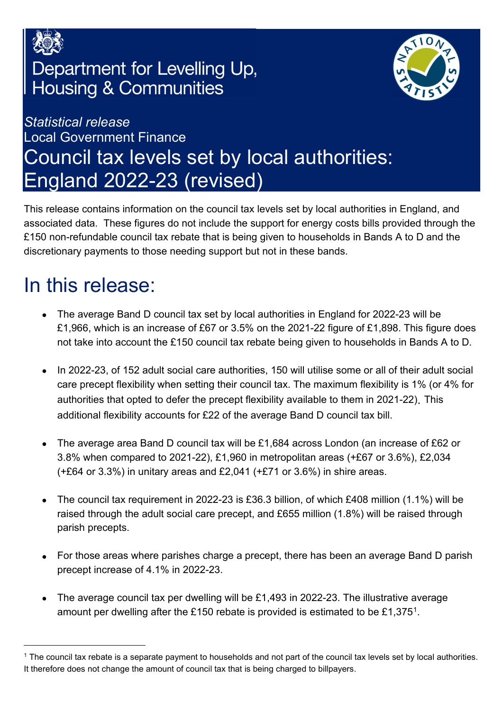

## Department for Levelling Up, **Housing & Communities**



## *Statistical release*  Local Government Finance Council tax levels set by local authorities: England 2022-23 (revised)

This release contains information on the council tax levels set by local authorities in England, and associated data. These figures do not include the support for energy costs bills provided through the £150 non-refundable council tax rebate that is being given to households in Bands A to D and the discretionary payments to those needing support but not in these bands.

# <span id="page-0-1"></span>In this release:

- The average Band D council tax set by local authorities in England for 2022-23 will be £1,966, which is an increase of £67 or 3.5% on the 2021-22 figure of £1,898. This figure does not take into account the £150 council tax rebate being given to households in Bands A to D.
- In 2022-23, of 152 adult social care authorities, 150 will utilise some or all of their adult social care precept flexibility when setting their council tax. The maximum flexibility is 1% (or 4% for authorities that opted to defer the precept flexibility available to them in 2021-22). This additional flexibility accounts for £22 of the average Band D council tax bill.
- The average area Band D council tax will be £1,684 across London (an increase of £62 or 3.8% when compared to 2021-22), £1,960 in metropolitan areas (+£67 or 3.6%), £2,034 (+£64 or 3.3%) in unitary areas and £2,041 (+£71 or 3.6%) in shire areas.
- The council tax requirement in 2022-23 is £36.3 billion, of which £408 million (1.1%) will be raised through the adult social care precept, and £655 million (1.8%) will be raised through parish precepts.
- For those areas where parishes charge a precept, there has been an average Band D parish precept increase of 4.1% in 2022-23.
- The average council tax per dwelling will be £1,493 in 2022-23. The illustrative average amount per dwelling after the £150 rebate is provided is estimated to be £1,375[1.](#page-0-0)

<span id="page-0-0"></span><sup>&</sup>lt;sup>1</sup> The council tax rebate is a separate payment to households and not part of the council tax levels set by local authorities. It therefore does not change the amount of council tax that is being charged to billpayers.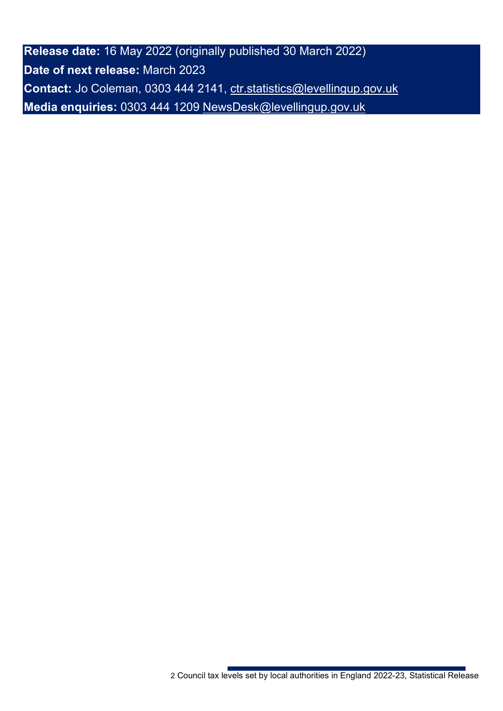**Release date:** 16 May 2022 (originally published 30 March 2022) **Date of next release:** March 2023 **Contact:** Jo Coleman, 0303 444 2141, [ctr.statistics@levellingup.gov.uk](mailto:ctr.statistics@levellingup.gov.uk)  **Media enquiries:** 0303 444 1209 [NewsDesk@levellingup.gov.uk](mailto:NewsDesk@levellingup.gov.uk)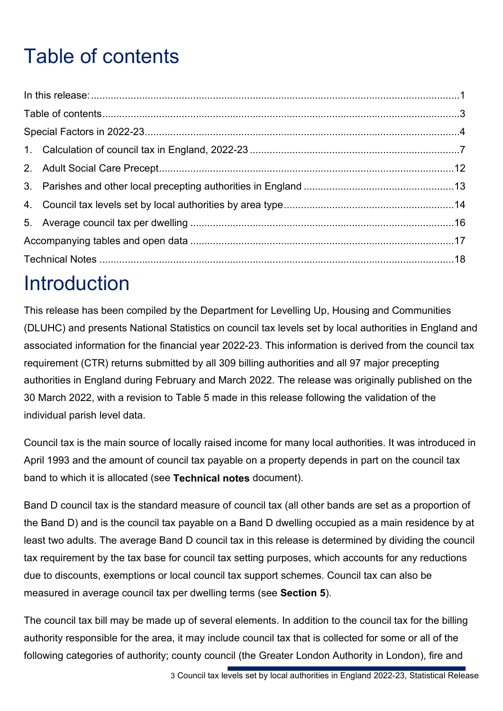# <span id="page-2-0"></span>Table of contents

## Introduction

This release has been compiled by the Department for Levelling Up, Housing and Communities (DLUHC) and presents National Statistics on council tax levels set by local authorities in England and associated information for the financial year 2022-23. This information is derived from the council tax requirement (CTR) returns submitted by all 309 billing authorities and all 97 major precepting authorities in England during February and March 2022. The release was originally published on the 30 March 2022, with a revision to Table 5 made in this release following the validation of the individual parish level data.

Council tax is the main source of locally raised income for many local authorities. It was introduced in April 1993 and the amount of council tax payable on a property depends in part on the council tax band to which it is allocated (see **Technical notes** document).

Band D council tax is the standard measure of council tax (all other bands are set as a proportion of the Band D) and is the council tax payable on a Band D dwelling occupied as a main residence by at least two adults. The average Band D council tax in this release is determined by dividing the council tax requirement by the tax base for council tax setting purposes, which accounts for any reductions due to discounts, exemptions or local council tax support schemes. Council tax can also be measured in average council tax per dwelling terms (see **Section 5**).

The council tax bill may be made up of several elements. In addition to the council tax for the billing authority responsible for the area, it may include council tax that is collected for some or all of the following categories of authority; county council (the Greater London Authority in London), fire and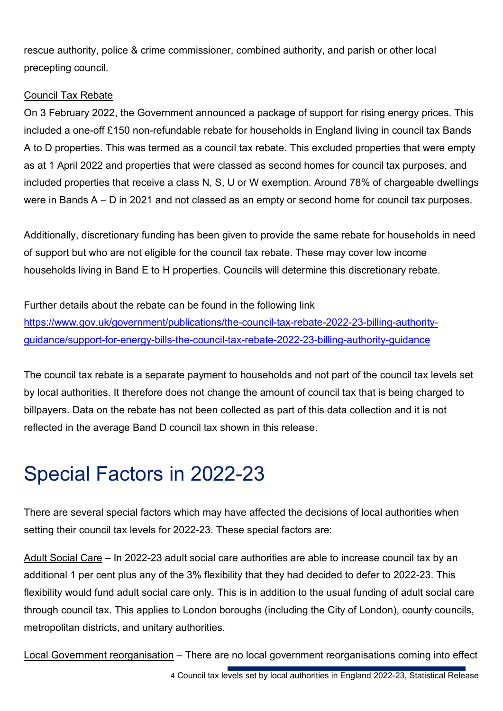rescue authority, police & crime commissioner, combined authority, and parish or other local precepting council.

#### Council Tax Rebate

On 3 February 2022, the Government announced a package of support for rising energy prices. This included a one-off £150 non-refundable rebate for households in England living in council tax Bands A to D properties. This was termed as a council tax rebate. This excluded properties that were empty as at 1 April 2022 and properties that were classed as second homes for council tax purposes, and included properties that receive a class N, S, U or W exemption. Around 78% of chargeable dwellings were in Bands A – D in 2021 and not classed as an empty or second home for council tax purposes.

Additionally, discretionary funding has been given to provide the same rebate for households in need of support but who are not eligible for the council tax rebate. These may cover low income households living in Band E to H properties. Councils will determine this discretionary rebate.

Further details about the rebate can be found in the following link [https://www.gov.uk/government/publications/the-council-tax-rebate-2022-23-billing-authority](https://www.gov.uk/government/publications/the-council-tax-rebate-2022-23-billing-authority-guidance/support-for-energy-bills-the-council-tax-rebate-2022-23-billing-authority-guidance)[guidance/support-for-energy-bills-the-council-tax-rebate-2022-23-billing-authority-guidance](https://www.gov.uk/government/publications/the-council-tax-rebate-2022-23-billing-authority-guidance/support-for-energy-bills-the-council-tax-rebate-2022-23-billing-authority-guidance) 

The council tax rebate is a separate payment to households and not part of the council tax levels set by local authorities. It therefore does not change the amount of council tax that is being charged to billpayers. Data on the rebate has not been collected as part of this data collection and it is not reflected in the average Band D council tax shown in this release.

# <span id="page-3-0"></span>Special Factors in 2022-23

There are several special factors which may have affected the decisions of local authorities when setting their council tax levels for 2022-23. These special factors are:

Adult Social Care – In 2022-23 adult social care authorities are able to increase council tax by an additional 1 per cent plus any of the 3% flexibility that they had decided to defer to 2022-23. This flexibility would fund adult social care only. This is in addition to the usual funding of adult social care through council tax. This applies to London boroughs (including the City of London), county councils, metropolitan districts, and unitary authorities.

Local Government reorganisation – There are no local government reorganisations coming into effect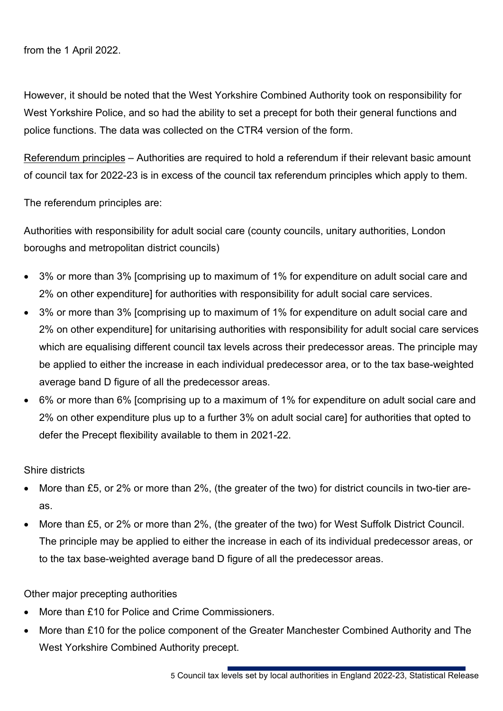from the 1 April 2022.

However, it should be noted that the West Yorkshire Combined Authority took on responsibility for West Yorkshire Police, and so had the ability to set a precept for both their general functions and police functions. The data was collected on the CTR4 version of the form.

Referendum principles – Authorities are required to hold a referendum if their relevant basic amount of council tax for 2022-23 is in excess of the council tax referendum principles which apply to them.

The referendum principles are:

Authorities with responsibility for adult social care (county councils, unitary authorities, London boroughs and metropolitan district councils)

- 3% or more than 3% [comprising up to maximum of 1% for expenditure on adult social care and 2% on other expenditure] for authorities with responsibility for adult social care services.
- 3% or more than 3% [comprising up to maximum of 1% for expenditure on adult social care and 2% on other expenditure] for unitarising authorities with responsibility for adult social care services which are equalising different council tax levels across their predecessor areas. The principle may be applied to either the increase in each individual predecessor area, or to the tax base-weighted average band D figure of all the predecessor areas.
- 6% or more than 6% [comprising up to a maximum of 1% for expenditure on adult social care and 2% on other expenditure plus up to a further 3% on adult social care] for authorities that opted to defer the Precept flexibility available to them in 2021-22.

Shire districts

- More than £5, or 2% or more than 2%, (the greater of the two) for district councils in two-tier areas.
- More than £5, or 2% or more than 2%, (the greater of the two) for West Suffolk District Council. The principle may be applied to either the increase in each of its individual predecessor areas, or to the tax base-weighted average band D figure of all the predecessor areas.

Other major precepting authorities

- More than £10 for Police and Crime Commissioners.
- More than £10 for the police component of the Greater Manchester Combined Authority and The West Yorkshire Combined Authority precept.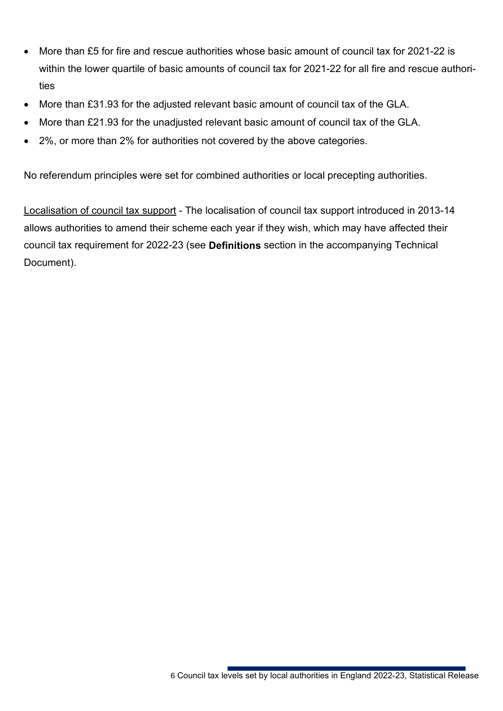- More than £5 for fire and rescue authorities whose basic amount of council tax for 2021-22 is within the lower quartile of basic amounts of council tax for 2021-22 for all fire and rescue authorities
- More than £31.93 for the adjusted relevant basic amount of council tax of the GLA.
- More than £21.93 for the unadjusted relevant basic amount of council tax of the GLA.
- 2%, or more than 2% for authorities not covered by the above categories.

No referendum principles were set for combined authorities or local precepting authorities.

Localisation of council tax support - The localisation of council tax support introduced in 2013-14 allows authorities to amend their scheme each year if they wish, which may have affected their council tax requirement for 2022-23 (see **Definitions** section in the accompanying Technical Document).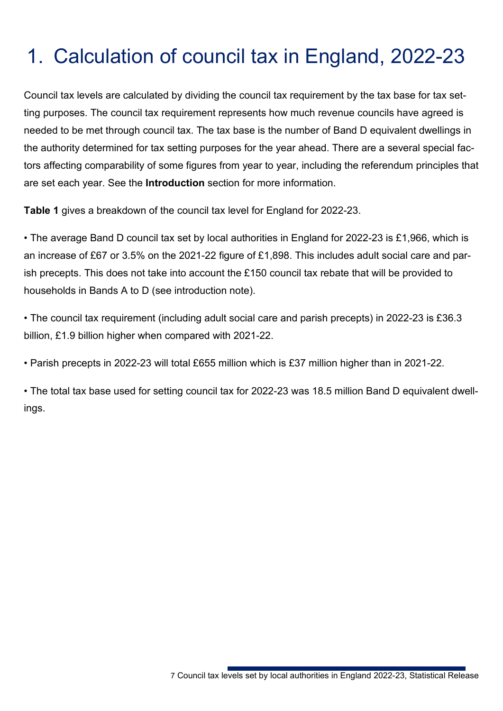# <span id="page-6-0"></span>1. Calculation of council tax in England, 2022-23

Council tax levels are calculated by dividing the council tax requirement by the tax base for tax setting purposes. The council tax requirement represents how much revenue councils have agreed is needed to be met through council tax. The tax base is the number of Band D equivalent dwellings in the authority determined for tax setting purposes for the year ahead. There are a several special factors affecting comparability of some figures from year to year, including the referendum principles that are set each year. See the **Introduction** section for more information.

**Table 1** gives a breakdown of the council tax level for England for 2022-23.

• The average Band D council tax set by local authorities in England for 2022-23 is £1,966, which is an increase of £67 or 3.5% on the 2021-22 figure of £1,898. This includes adult social care and parish precepts. This does not take into account the £150 council tax rebate that will be provided to households in Bands A to D (see introduction note).

• The council tax requirement (including adult social care and parish precepts) in 2022-23 is £36.3 billion, £1.9 billion higher when compared with 2021-22.

• Parish precepts in 2022-23 will total £655 million which is £37 million higher than in 2021-22.

• The total tax base used for setting council tax for 2022-23 was 18.5 million Band D equivalent dwellings.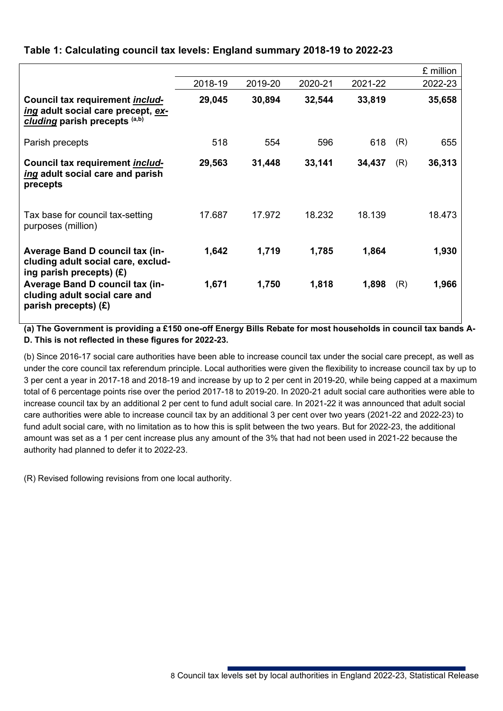|                                                                                                               |         |         |         |         |     | £ million |
|---------------------------------------------------------------------------------------------------------------|---------|---------|---------|---------|-----|-----------|
|                                                                                                               | 2018-19 | 2019-20 | 2020-21 | 2021-22 |     | 2022-23   |
| Council tax requirement <i>includ-</i><br>ing adult social care precept, ex-<br>cluding parish precepts (a,b) | 29,045  | 30,894  | 32,544  | 33,819  |     | 35,658    |
| Parish precepts                                                                                               | 518     | 554     | 596     | 618     | (R) | 655       |
| Council tax requirement <i>includ-</i><br>ing adult social care and parish<br>precepts                        | 29,563  | 31,448  | 33,141  | 34,437  | (R) | 36,313    |
| Tax base for council tax-setting<br>purposes (million)                                                        | 17.687  | 17.972  | 18.232  | 18.139  |     | 18.473    |
| <b>Average Band D council tax (in-</b><br>cluding adult social care, exclud-<br>ing parish precepts) $(E)$    | 1,642   | 1,719   | 1,785   | 1,864   |     | 1,930     |
| <b>Average Band D council tax (in-</b><br>cluding adult social care and<br>parish precepts) $(E)$             | 1,671   | 1,750   | 1,818   | 1,898   | (R) | 1,966     |

#### **Table 1: Calculating council tax levels: England summary 2018-19 to 2022-23**

**(a) The Government is providing a £150 one-off Energy Bills Rebate for most households in council tax bands A-D. This is not reflected in these figures for 2022-23.**

(b) Since 2016-17 social care authorities have been able to increase council tax under the social care precept, as well as under the core council tax referendum principle. Local authorities were given the flexibility to increase council tax by up to 3 per cent a year in 2017-18 and 2018-19 and increase by up to 2 per cent in 2019-20, while being capped at a maximum total of 6 percentage points rise over the period 2017-18 to 2019-20. In 2020-21 adult social care authorities were able to increase council tax by an additional 2 per cent to fund adult social care. In 2021-22 it was announced that adult social care authorities were able to increase council tax by an additional 3 per cent over two years (2021-22 and 2022-23) to fund adult social care, with no limitation as to how this is split between the two years. But for 2022-23, the additional amount was set as a 1 per cent increase plus any amount of the 3% that had not been used in 2021-22 because the authority had planned to defer it to 2022-23.

(R) Revised following revisions from one local authority.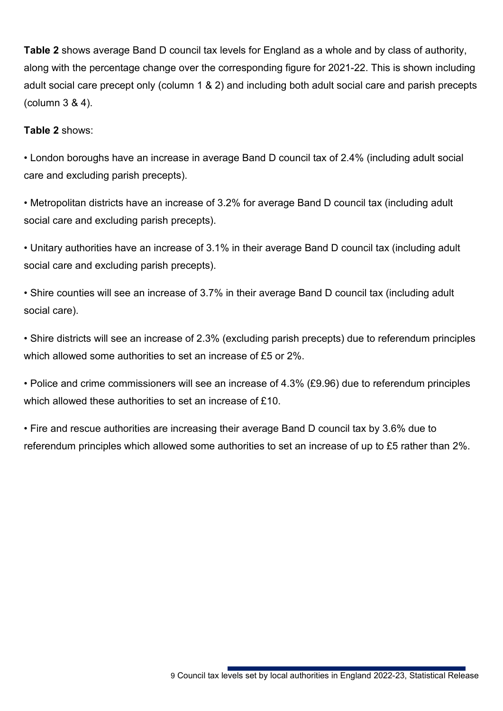**Table 2** shows average Band D council tax levels for England as a whole and by class of authority, along with the percentage change over the corresponding figure for 2021-22. This is shown including adult social care precept only (column 1 & 2) and including both adult social care and parish precepts (column 3 & 4).

#### **Table 2** shows:

• London boroughs have an increase in average Band D council tax of 2.4% (including adult social care and excluding parish precepts).

• Metropolitan districts have an increase of 3.2% for average Band D council tax (including adult social care and excluding parish precepts).

• Unitary authorities have an increase of 3.1% in their average Band D council tax (including adult social care and excluding parish precepts).

• Shire counties will see an increase of 3.7% in their average Band D council tax (including adult social care).

• Shire districts will see an increase of 2.3% (excluding parish precepts) due to referendum principles which allowed some authorities to set an increase of £5 or 2%.

• Police and crime commissioners will see an increase of 4.3% (£9.96) due to referendum principles which allowed these authorities to set an increase of £10.

• Fire and rescue authorities are increasing their average Band D council tax by 3.6% due to referendum principles which allowed some authorities to set an increase of up to £5 rather than 2%.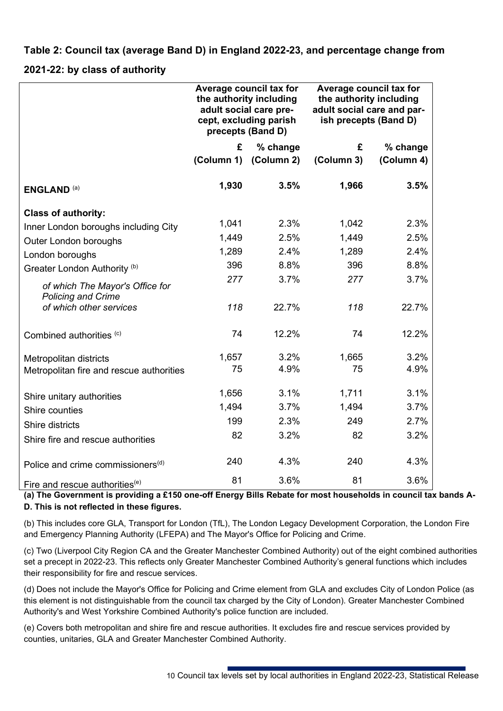**Table 2: Council tax (average Band D) in England 2022-23, and percentage change from** 

#### **2021-22: by class of authority**

|                                                              | Average council tax for<br>the authority including<br>precepts (Band D) | adult social care pre-<br>cept, excluding parish | Average council tax for<br>the authority including<br>adult social care and par-<br>ish precepts (Band D) |            |  |  |
|--------------------------------------------------------------|-------------------------------------------------------------------------|--------------------------------------------------|-----------------------------------------------------------------------------------------------------------|------------|--|--|
|                                                              | £                                                                       | % change                                         | £                                                                                                         | % change   |  |  |
|                                                              | (Column 1)                                                              | (Column 2)                                       | (Column 3)                                                                                                | (Column 4) |  |  |
| <b>ENGLAND (a)</b>                                           | 1,930                                                                   | 3.5%                                             | 1,966                                                                                                     | 3.5%       |  |  |
| <b>Class of authority:</b>                                   |                                                                         |                                                  |                                                                                                           |            |  |  |
| Inner London boroughs including City                         | 1,041                                                                   | 2.3%                                             | 1,042                                                                                                     | 2.3%       |  |  |
| Outer London boroughs                                        | 1,449                                                                   | 2.5%                                             | 1,449                                                                                                     | 2.5%       |  |  |
| London boroughs                                              | 1,289                                                                   | 2.4%                                             | 1,289                                                                                                     | 2.4%       |  |  |
| Greater London Authority <sup>(b)</sup>                      | 396                                                                     | 8.8%                                             | 396                                                                                                       | 8.8%       |  |  |
| of which The Mayor's Office for<br><b>Policing and Crime</b> | 277                                                                     | 3.7%                                             | 277                                                                                                       | 3.7%       |  |  |
| of which other services                                      | 118                                                                     | 22.7%                                            | 118                                                                                                       | 22.7%      |  |  |
| Combined authorities (c)                                     | 74                                                                      | 12.2%                                            | 74                                                                                                        | 12.2%      |  |  |
| Metropolitan districts                                       | 1,657                                                                   | 3.2%                                             | 1,665                                                                                                     | 3.2%       |  |  |
| Metropolitan fire and rescue authorities                     | 75                                                                      | 4.9%                                             | 75                                                                                                        | 4.9%       |  |  |
| Shire unitary authorities                                    | 1,656                                                                   | 3.1%                                             | 1,711                                                                                                     | 3.1%       |  |  |
| Shire counties                                               | 1,494                                                                   | 3.7%                                             | 1,494                                                                                                     | 3.7%       |  |  |
| Shire districts                                              | 199                                                                     | 2.3%                                             | 249                                                                                                       | 2.7%       |  |  |
| Shire fire and rescue authorities                            | 82                                                                      | 3.2%                                             | 82                                                                                                        | 3.2%       |  |  |
| Police and crime commissioners <sup>(d)</sup>                | 240                                                                     | 4.3%                                             | 240                                                                                                       | 4.3%       |  |  |
| Fire and rescue authorities <sup>(e)</sup>                   | 81                                                                      | 3.6%                                             | 81                                                                                                        | 3.6%       |  |  |

**(a) The Government is providing a £150 one-off Energy Bills Rebate for most households in council tax bands A-D. This is not reflected in these figures.**

(b) This includes core GLA, Transport for London (TfL), The London Legacy Development Corporation, the London Fire and Emergency Planning Authority (LFEPA) and The Mayor's Office for Policing and Crime.

(c) Two (Liverpool City Region CA and the Greater Manchester Combined Authority) out of the eight combined authorities set a precept in 2022-23. This reflects only Greater Manchester Combined Authority's general functions which includes their responsibility for fire and rescue services.

(d) Does not include the Mayor's Office for Policing and Crime element from GLA and excludes City of London Police (as this element is not distinguishable from the council tax charged by the City of London). Greater Manchester Combined Authority's and West Yorkshire Combined Authority's police function are included.

(e) Covers both metropolitan and shire fire and rescue authorities. It excludes fire and rescue services provided by counties, unitaries, GLA and Greater Manchester Combined Authority.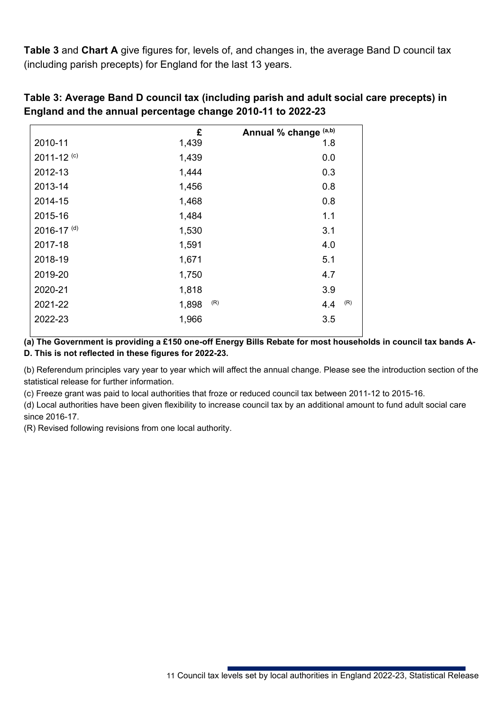**Table 3** and **Chart A** give figures for, levels of, and changes in, the average Band D council tax (including parish precepts) for England for the last 13 years.

|                            | £            | Annual % change (a,b) |
|----------------------------|--------------|-----------------------|
| 2010-11                    | 1,439        | 1.8                   |
| 2011-12 <sup>(c)</sup>     | 1,439        | 0.0                   |
| 2012-13                    | 1,444        | 0.3                   |
| 2013-14                    | 1,456        | 0.8                   |
| 2014-15                    | 1,468        | 0.8                   |
| 2015-16                    | 1,484        | 1.1                   |
| $2016 - 17$ <sup>(d)</sup> | 1,530        | 3.1                   |
| 2017-18                    | 1,591        | 4.0                   |
| 2018-19                    | 1,671        | 5.1                   |
| 2019-20                    | 1,750        | 4.7                   |
| 2020-21                    | 1,818        | 3.9                   |
| 2021-22                    | (R)<br>1,898 | (R)<br>4.4            |
| 2022-23                    | 1,966        | 3.5                   |
|                            |              |                       |

**Table 3: Average Band D council tax (including parish and adult social care precepts) in England and the annual percentage change 2010-11 to 2022-23**

**(a) The Government is providing a £150 one-off Energy Bills Rebate for most households in council tax bands A-D. This is not reflected in these figures for 2022-23.**

(b) Referendum principles vary year to year which will affect the annual change. Please see the introduction section of the statistical release for further information.

(c) Freeze grant was paid to local authorities that froze or reduced council tax between 2011-12 to 2015-16.

(d) Local authorities have been given flexibility to increase council tax by an additional amount to fund adult social care since 2016-17.

(R) Revised following revisions from one local authority.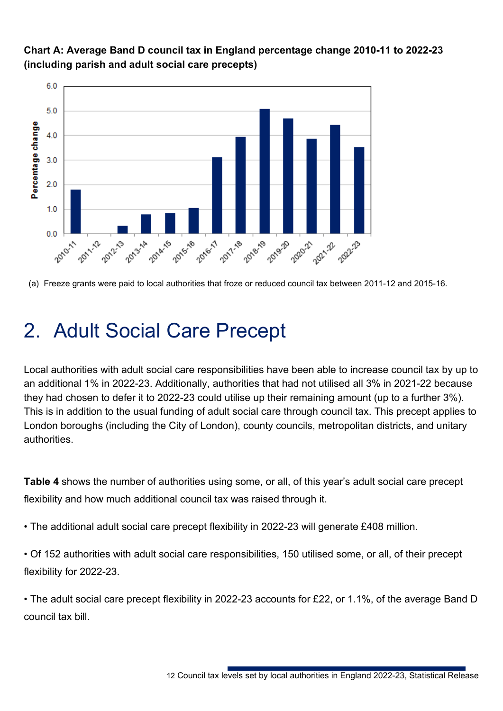

**Chart A: Average Band D council tax in England percentage change 2010-11 to 2022-23 (including parish and adult social care precepts)**

## <span id="page-11-0"></span>2. Adult Social Care Precept

Local authorities with adult social care responsibilities have been able to increase council tax by up to an additional 1% in 2022-23. Additionally, authorities that had not utilised all 3% in 2021-22 because they had chosen to defer it to 2022-23 could utilise up their remaining amount (up to a further 3%). This is in addition to the usual funding of adult social care through council tax. This precept applies to London boroughs (including the City of London), county councils, metropolitan districts, and unitary authorities.

**Table 4** shows the number of authorities using some, or all, of this year's adult social care precept flexibility and how much additional council tax was raised through it.

• The additional adult social care precept flexibility in 2022-23 will generate £408 million.

• Of 152 authorities with adult social care responsibilities, 150 utilised some, or all, of their precept flexibility for 2022-23.

• The adult social care precept flexibility in 2022-23 accounts for £22, or 1.1%, of the average Band D council tax bill.

<sup>(</sup>a) Freeze grants were paid to local authorities that froze or reduced council tax between 2011-12 and 2015-16.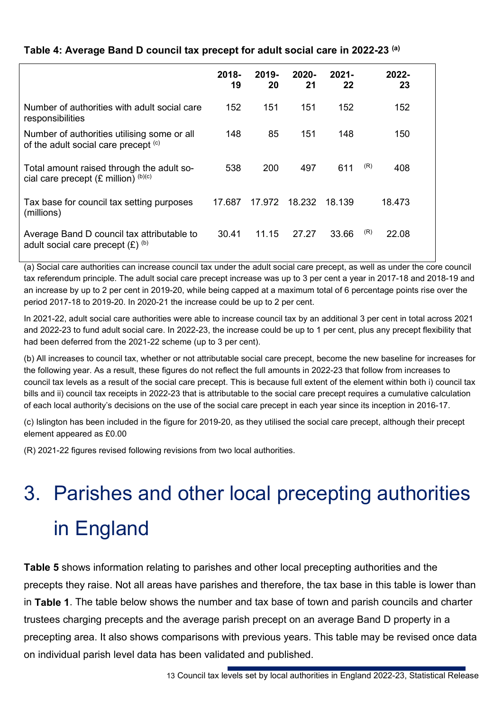#### **Table 4: Average Band D council tax precept for adult social care in 2022-23 (a)**

|                                                                                               | $2018 -$<br>19 | $2019 -$<br>20 | $2020 -$<br>21 | $2021 -$<br>22 |     | 2022-<br>23 |  |
|-----------------------------------------------------------------------------------------------|----------------|----------------|----------------|----------------|-----|-------------|--|
| Number of authorities with adult social care<br>responsibilities                              | 152            | 151            | 151            | 152            |     | 152         |  |
| Number of authorities utilising some or all<br>of the adult social care precept (c)           | 148            | 85             | 151            | 148            |     | 150         |  |
| Total amount raised through the adult so-<br>cial care precept $(E \text{ million})^{(b)(c)}$ | 538            | 200            | 497            | 611            | (R) | 408         |  |
| Tax base for council tax setting purposes<br>(millions)                                       | 17.687         | 17.972         | 18.232         | 18.139         |     | 18.473      |  |
| Average Band D council tax attributable to<br>adult social care precept $(E)$ (b)             | 30.41          | 11.15          | 27.27          | 33.66          | (R) | 22.08       |  |

(a) Social care authorities can increase council tax under the adult social care precept, as well as under the core council tax referendum principle. The adult social care precept increase was up to 3 per cent a year in 2017-18 and 2018-19 and an increase by up to 2 per cent in 2019-20, while being capped at a maximum total of 6 percentage points rise over the period 2017-18 to 2019-20. In 2020-21 the increase could be up to 2 per cent.

In 2021-22, adult social care authorities were able to increase council tax by an additional 3 per cent in total across 2021 and 2022-23 to fund adult social care. In 2022-23, the increase could be up to 1 per cent, plus any precept flexibility that had been deferred from the 2021-22 scheme (up to 3 per cent).

(b) All increases to council tax, whether or not attributable social care precept, become the new baseline for increases for the following year. As a result, these figures do not reflect the full amounts in 2022-23 that follow from increases to council tax levels as a result of the social care precept. This is because full extent of the element within both i) council tax bills and ii) council tax receipts in 2022-23 that is attributable to the social care precept requires a cumulative calculation of each local authority's decisions on the use of the social care precept in each year since its inception in 2016-17.

(c) Islington has been included in the figure for 2019-20, as they utilised the social care precept, although their precept element appeared as £0.00

(R) 2021-22 figures revised following revisions from two local authorities.

# <span id="page-12-0"></span>3. Parishes and other local precepting authorities in England

**Table 5** shows information relating to parishes and other local precepting authorities and the precepts they raise. Not all areas have parishes and therefore, the tax base in this table is lower than in **Table 1**. The table below shows the number and tax base of town and parish councils and charter trustees charging precepts and the average parish precept on an average Band D property in a precepting area. It also shows comparisons with previous years. This table may be revised once data on individual parish level data has been validated and published.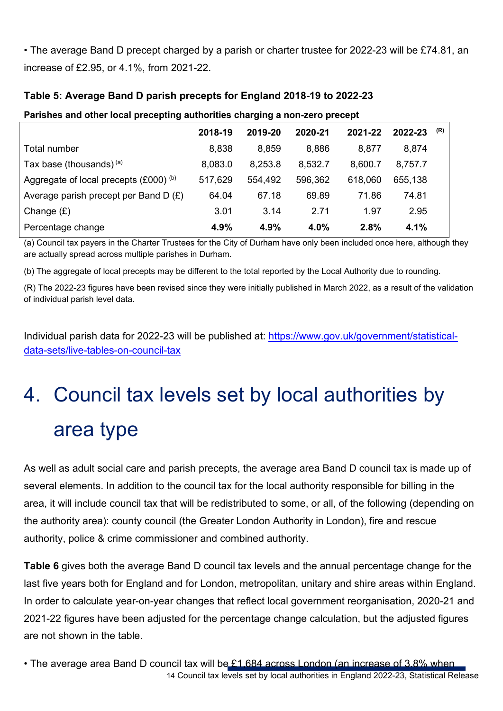• The average Band D precept charged by a parish or charter trustee for 2022-23 will be £74.81, an increase of £2.95, or 4.1%, from 2021-22.

|                                            | 2018-19 | 2019-20 | 2020-21 | 2021-22 | 2022-23 | (R) |
|--------------------------------------------|---------|---------|---------|---------|---------|-----|
| Total number                               | 8,838   | 8,859   | 8,886   | 8,877   | 8,874   |     |
| Tax base (thousands) $(a)$                 | 8,083.0 | 8,253.8 | 8,532.7 | 8,600.7 | 8,757.7 |     |
| Aggregate of local precepts $(£000)^{(b)}$ | 517,629 | 554,492 | 596,362 | 618,060 | 655,138 |     |
| Average parish precept per Band D $(E)$    | 64.04   | 67.18   | 69.89   | 71.86   | 74.81   |     |
| Change $(E)$                               | 3.01    | 3.14    | 2.71    | 1.97    | 2.95    |     |
| Percentage change                          | 4.9%    | 4.9%    | 4.0%    | 2.8%    | 4.1%    |     |
|                                            |         |         |         |         |         |     |

#### **Table 5: Average Band D parish precepts for England 2018-19 to 2022-23**

**Parishes and other local precepting authorities charging a non-zero precept**

(a) Council tax payers in the Charter Trustees for the City of Durham have only been included once here, although they are actually spread across multiple parishes in Durham.

(b) The aggregate of local precepts may be different to the total reported by the Local Authority due to rounding.

(R) The 2022-23 figures have been revised since they were initially published in March 2022, as a result of the validation of individual parish level data.

Individual parish data for 2022-23 will be published at: [https://www.gov.uk/government/statistical](https://www.gov.uk/government/statistical-data-sets/live-tables-on-council-tax)[data-sets/live-tables-on-council-tax](https://www.gov.uk/government/statistical-data-sets/live-tables-on-council-tax)

# <span id="page-13-0"></span>4. Council tax levels set by local authorities by area type

As well as adult social care and parish precepts, the average area Band D council tax is made up of several elements. In addition to the council tax for the local authority responsible for billing in the area, it will include council tax that will be redistributed to some, or all, of the following (depending on the authority area): county council (the Greater London Authority in London), fire and rescue authority, police & crime commissioner and combined authority.

**Table 6** gives both the average Band D council tax levels and the annual percentage change for the last five years both for England and for London, metropolitan, unitary and shire areas within England. In order to calculate year-on-year changes that reflect local government reorganisation, 2020-21 and 2021-22 figures have been adjusted for the percentage change calculation, but the adjusted figures are not shown in the table.

14 Council tax levels set by local authorities in England 2022-23, Statistical Release • The average area Band D council tax will be £1,684 across London (an increase of 3.8% when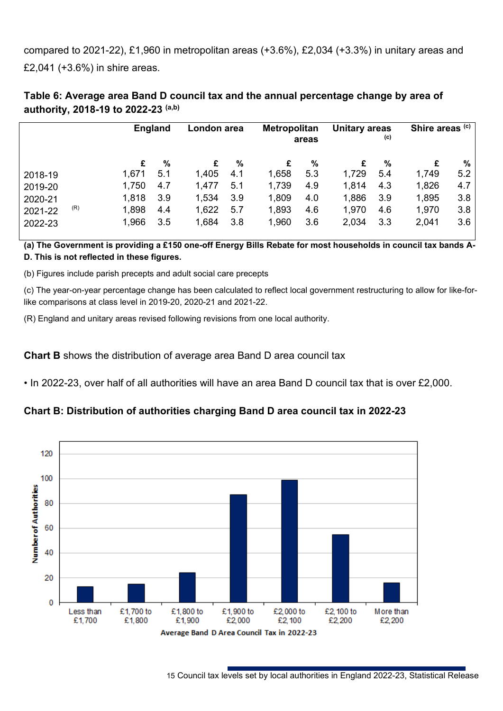compared to 2021-22), £1,960 in metropolitan areas (+3.6%), £2,034 (+3.3%) in unitary areas and £2,041 (+3.6%) in shire areas.

| Table 6: Average area Band D council tax and the annual percentage change by area of |  |  |
|--------------------------------------------------------------------------------------|--|--|
| authority, 2018-19 to 2022-23 (a,b)                                                  |  |  |

| <b>England</b>                |                                                       | London area                   |                                       | Unitary areas<br><b>Metropolitan</b><br>(c)<br>areas |                                       | Shire areas (c)                  |                                       |                                      |
|-------------------------------|-------------------------------------------------------|-------------------------------|---------------------------------------|------------------------------------------------------|---------------------------------------|----------------------------------|---------------------------------------|--------------------------------------|
| %<br>5.1<br>4.7<br>3.9<br>4.4 | £<br>1,405<br>1,477<br>1,534<br>1,622                 | %<br>4.1<br>5.1<br>3.9<br>5.7 | £<br>1,658<br>1,739<br>1,809<br>1,893 | %<br>5.3<br>4.9<br>4.0<br>4.6                        | £<br>1,729<br>1,814<br>1,886<br>1,970 | $\%$<br>5.4<br>4.3<br>3.9<br>4.6 | £<br>1,749<br>1,826<br>1,895<br>1,970 | %<br>5.2<br>4.7<br>3.8<br>3.8<br>3.6 |
|                               | £<br>1,671<br>1,750<br>1,818<br>1,898<br>1,966<br>3.5 | 1,684                         | 3.8                                   | 1,960                                                | 3.6                                   | 2,034                            | 3.3                                   | 2,041                                |

**(a) The Government is providing a £150 one-off Energy Bills Rebate for most households in council tax bands A-D. This is not reflected in these figures.**

(b) Figures include parish precepts and adult social care precepts

(c) The year-on-year percentage change has been calculated to reflect local government restructuring to allow for like-forlike comparisons at class level in 2019-20, 2020-21 and 2021-22.

(R) England and unitary areas revised following revisions from one local authority.

#### **Chart B** shows the distribution of average area Band D area council tax

• In 2022-23, over half of all authorities will have an area Band D council tax that is over £2,000.

#### **Chart B: Distribution of authorities charging Band D area council tax in 2022-23**



15 Council tax levels set by local authorities in England 2022-23, Statistical Release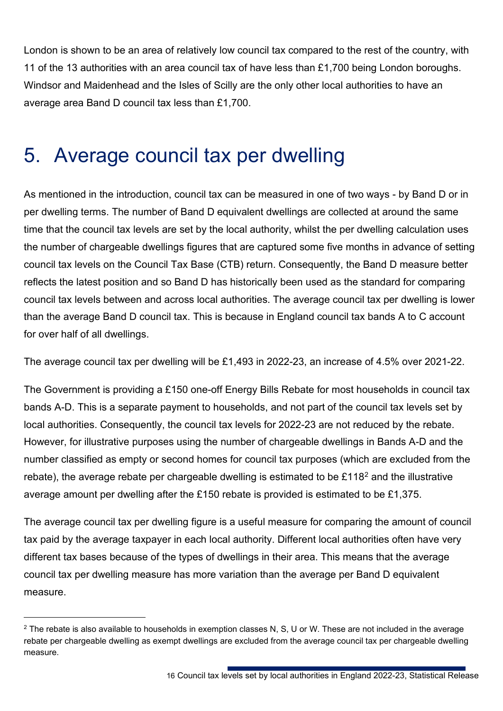London is shown to be an area of relatively low council tax compared to the rest of the country, with 11 of the 13 authorities with an area council tax of have less than £1,700 being London boroughs. Windsor and Maidenhead and the Isles of Scilly are the only other local authorities to have an average area Band D council tax less than £1,700.

## <span id="page-15-0"></span>5. Average council tax per dwelling

As mentioned in the introduction, council tax can be measured in one of two ways - by Band D or in per dwelling terms. The number of Band D equivalent dwellings are collected at around the same time that the council tax levels are set by the local authority, whilst the per dwelling calculation uses the number of chargeable dwellings figures that are captured some five months in advance of setting council tax levels on the Council Tax Base (CTB) return. Consequently, the Band D measure better reflects the latest position and so Band D has historically been used as the standard for comparing council tax levels between and across local authorities. The average council tax per dwelling is lower than the average Band D council tax. This is because in England council tax bands A to C account for over half of all dwellings.

The average council tax per dwelling will be £1,493 in 2022-23, an increase of 4.5% over 2021-22.

The Government is providing a £150 one-off Energy Bills Rebate for most households in council tax bands A-D. This is a separate payment to households, and not part of the council tax levels set by local authorities. Consequently, the council tax levels for 2022-23 are not reduced by the rebate. However, for illustrative purposes using the number of chargeable dwellings in Bands A-D and the number classified as empty or second homes for council tax purposes (which are excluded from the rebate), the average rebate per chargeable dwelling is estimated to be  $£118<sup>2</sup>$  $£118<sup>2</sup>$  $£118<sup>2</sup>$  and the illustrative average amount per dwelling after the £150 rebate is provided is estimated to be £1,375.

The average council tax per dwelling figure is a useful measure for comparing the amount of council tax paid by the average taxpayer in each local authority. Different local authorities often have very different tax bases because of the types of dwellings in their area. This means that the average council tax per dwelling measure has more variation than the average per Band D equivalent measure.

<span id="page-15-1"></span> $2$  The rebate is also available to households in exemption classes N, S, U or W. These are not included in the average rebate per chargeable dwelling as exempt dwellings are excluded from the average council tax per chargeable dwelling measure.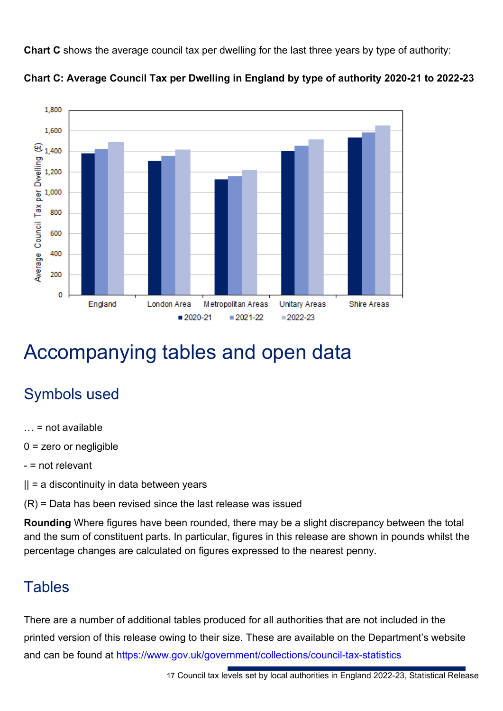**Chart C** shows the average council tax per dwelling for the last three years by type of authority:





## <span id="page-16-0"></span>Accompanying tables and open data

## Symbols used

- $\ldots$  = not available
- 0 = zero or negligible
- = not relevant
- $|| = a$  discontinuity in data between years
- (R) = Data has been revised since the last release was issued

**Rounding** Where figures have been rounded, there may be a slight discrepancy between the total and the sum of constituent parts. In particular, figures in this release are shown in pounds whilst the percentage changes are calculated on figures expressed to the nearest penny.

### **Tables**

There are a number of additional tables produced for all authorities that are not included in the printed version of this release owing to their size. These are available on the Department's website and can be found at<https://www.gov.uk/government/collections/council-tax-statistics>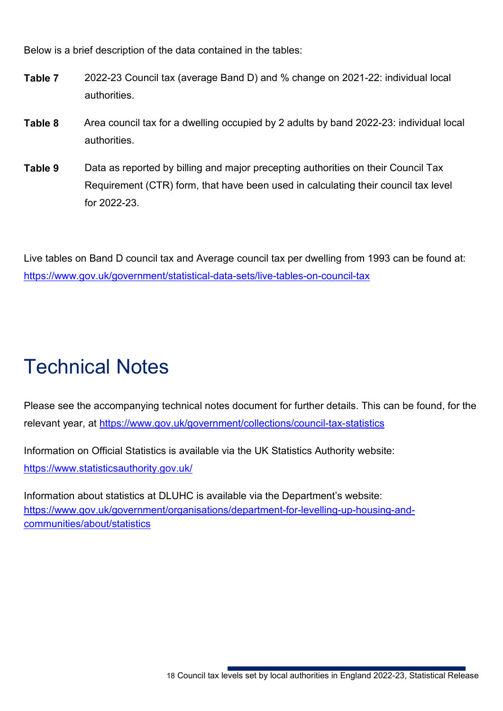Below is a brief description of the data contained in the tables:

- **Table 7** 2022-23 Council tax (average Band D) and % change on 2021-22: individual local authorities.
- **Table 8** Area council tax for a dwelling occupied by 2 adults by band 2022-23: individual local authorities.
- **Table 9** Data as reported by billing and major precepting authorities on their Council Tax Requirement (CTR) form, that have been used in calculating their council tax level for 2022-23.

Live tables on Band D council tax and Average council tax per dwelling from 1993 can be found at: <https://www.gov.uk/government/statistical-data-sets/live-tables-on-council-tax>

# <span id="page-17-0"></span>Technical Notes

Please see the accompanying technical notes document for further details. This can be found, for the relevant year, at<https://www.gov.uk/government/collections/council-tax-statistics>

Information on Official Statistics is available via the UK Statistics Authority website: <https://www.statisticsauthority.gov.uk/>

Information about statistics at DLUHC is available via the Department's website: [https://www.gov.uk/government/organisations/department-for-levelling-up-housing-and](https://www.gov.uk/government/organisations/department-for-levelling-up-housing-and-communities/about/statistics)[communities/about/statistics](https://www.gov.uk/government/organisations/department-for-levelling-up-housing-and-communities/about/statistics)